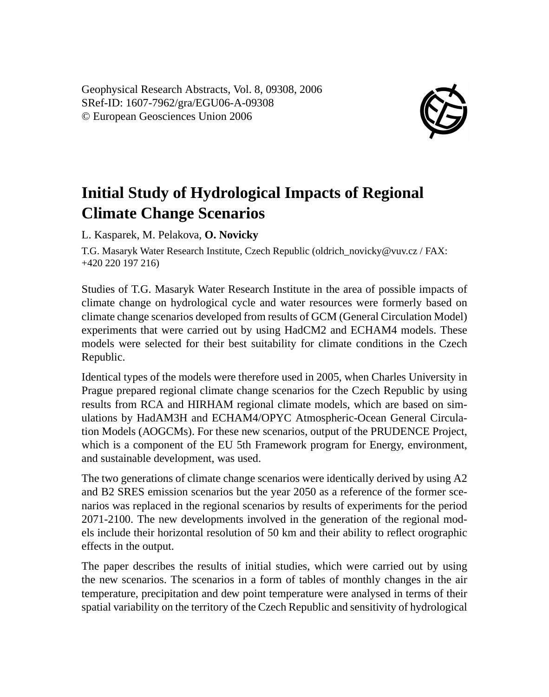Geophysical Research Abstracts, Vol. 8, 09308, 2006 SRef-ID: 1607-7962/gra/EGU06-A-09308 © European Geosciences Union 2006



## **Initial Study of Hydrological Impacts of Regional Climate Change Scenarios**

L. Kasparek, M. Pelakova, **O. Novicky**

T.G. Masaryk Water Research Institute, Czech Republic (oldrich\_novicky@vuv.cz / FAX: +420 220 197 216)

Studies of T.G. Masaryk Water Research Institute in the area of possible impacts of climate change on hydrological cycle and water resources were formerly based on climate change scenarios developed from results of GCM (General Circulation Model) experiments that were carried out by using HadCM2 and ECHAM4 models. These models were selected for their best suitability for climate conditions in the Czech Republic.

Identical types of the models were therefore used in 2005, when Charles University in Prague prepared regional climate change scenarios for the Czech Republic by using results from RCA and HIRHAM regional climate models, which are based on simulations by HadAM3H and ECHAM4/OPYC Atmospheric-Ocean General Circulation Models (AOGCMs). For these new scenarios, output of the PRUDENCE Project, which is a component of the EU 5th Framework program for Energy, environment, and sustainable development, was used.

The two generations of climate change scenarios were identically derived by using A2 and B2 SRES emission scenarios but the year 2050 as a reference of the former scenarios was replaced in the regional scenarios by results of experiments for the period 2071-2100. The new developments involved in the generation of the regional models include their horizontal resolution of 50 km and their ability to reflect orographic effects in the output.

The paper describes the results of initial studies, which were carried out by using the new scenarios. The scenarios in a form of tables of monthly changes in the air temperature, precipitation and dew point temperature were analysed in terms of their spatial variability on the territory of the Czech Republic and sensitivity of hydrological